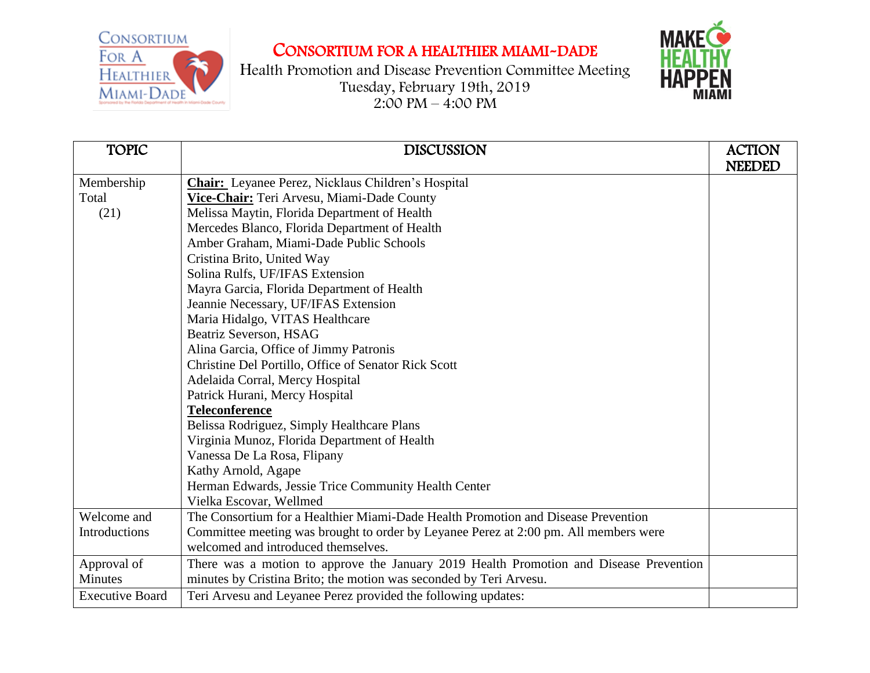

## CONSORTIUM FOR A HEALTHIER MIAMI-DADE

Health Promotion and Disease Prevention Committee Meeting Tuesday, February 19th, 2019  $2:00 \text{ PM} - 4:00 \text{ PM}$ 



| <b>TOPIC</b>           | <b>DISCUSSION</b>                                                                      | <b>ACTION</b> |
|------------------------|----------------------------------------------------------------------------------------|---------------|
|                        |                                                                                        | <b>NEEDED</b> |
| Membership             | <b>Chair:</b> Leyanee Perez, Nicklaus Children's Hospital                              |               |
| Total                  | Vice-Chair: Teri Arvesu, Miami-Dade County                                             |               |
|                        |                                                                                        |               |
| (21)                   | Melissa Maytin, Florida Department of Health                                           |               |
|                        | Mercedes Blanco, Florida Department of Health                                          |               |
|                        | Amber Graham, Miami-Dade Public Schools                                                |               |
|                        | Cristina Brito, United Way                                                             |               |
|                        | Solina Rulfs, UF/IFAS Extension                                                        |               |
|                        | Mayra Garcia, Florida Department of Health                                             |               |
|                        | Jeannie Necessary, UF/IFAS Extension                                                   |               |
|                        | Maria Hidalgo, VITAS Healthcare                                                        |               |
|                        | <b>Beatriz Severson, HSAG</b>                                                          |               |
|                        | Alina Garcia, Office of Jimmy Patronis                                                 |               |
|                        | Christine Del Portillo, Office of Senator Rick Scott                                   |               |
|                        | Adelaida Corral, Mercy Hospital                                                        |               |
|                        | Patrick Hurani, Mercy Hospital                                                         |               |
|                        | <b>Teleconference</b>                                                                  |               |
|                        | Belissa Rodriguez, Simply Healthcare Plans                                             |               |
|                        | Virginia Munoz, Florida Department of Health                                           |               |
|                        | Vanessa De La Rosa, Flipany                                                            |               |
|                        | Kathy Arnold, Agape                                                                    |               |
|                        | Herman Edwards, Jessie Trice Community Health Center                                   |               |
|                        | Vielka Escovar, Wellmed                                                                |               |
| Welcome and            | The Consortium for a Healthier Miami-Dade Health Promotion and Disease Prevention      |               |
| Introductions          | Committee meeting was brought to order by Leyanee Perez at 2:00 pm. All members were   |               |
|                        | welcomed and introduced themselves.                                                    |               |
| Approval of            | There was a motion to approve the January 2019 Health Promotion and Disease Prevention |               |
| <b>Minutes</b>         | minutes by Cristina Brito; the motion was seconded by Teri Arvesu.                     |               |
| <b>Executive Board</b> | Teri Arvesu and Leyanee Perez provided the following updates:                          |               |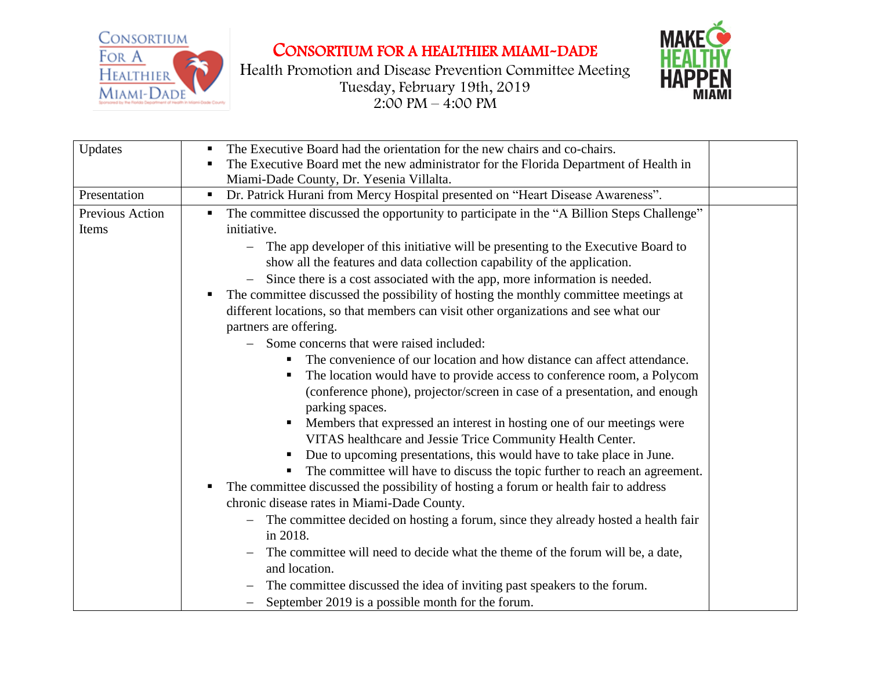

CONSORTIUM FOR A HEALTHIER MIAMI-DADE

Health Promotion and Disease Prevention Committee Meeting Tuesday, February 19th, 2019  $2:00 \text{ PM} - 4:00 \text{ PM}$ 



| Updates                  | The Executive Board had the orientation for the new chairs and co-chairs.<br>п<br>The Executive Board met the new administrator for the Florida Department of Health in<br>Miami-Dade County, Dr. Yesenia Villalta.                                                                                                                                                                                                                                                                                                                                                                                                                                                                                                                                                                                                                                                                                                                                                                                                                                                                                                                                                                                                                                                                                                                  |  |
|--------------------------|--------------------------------------------------------------------------------------------------------------------------------------------------------------------------------------------------------------------------------------------------------------------------------------------------------------------------------------------------------------------------------------------------------------------------------------------------------------------------------------------------------------------------------------------------------------------------------------------------------------------------------------------------------------------------------------------------------------------------------------------------------------------------------------------------------------------------------------------------------------------------------------------------------------------------------------------------------------------------------------------------------------------------------------------------------------------------------------------------------------------------------------------------------------------------------------------------------------------------------------------------------------------------------------------------------------------------------------|--|
| Presentation             | Dr. Patrick Hurani from Mercy Hospital presented on "Heart Disease Awareness".<br>$\blacksquare$                                                                                                                                                                                                                                                                                                                                                                                                                                                                                                                                                                                                                                                                                                                                                                                                                                                                                                                                                                                                                                                                                                                                                                                                                                     |  |
| Previous Action<br>Items | The committee discussed the opportunity to participate in the "A Billion Steps Challenge"<br>п<br>initiative.<br>The app developer of this initiative will be presenting to the Executive Board to<br>show all the features and data collection capability of the application.<br>Since there is a cost associated with the app, more information is needed.<br>The committee discussed the possibility of hosting the monthly committee meetings at<br>п<br>different locations, so that members can visit other organizations and see what our<br>partners are offering.<br>Some concerns that were raised included:<br>The convenience of our location and how distance can affect attendance.<br>The location would have to provide access to conference room, a Polycom<br>(conference phone), projector/screen in case of a presentation, and enough<br>parking spaces.<br>Members that expressed an interest in hosting one of our meetings were<br>VITAS healthcare and Jessie Trice Community Health Center.<br>Due to upcoming presentations, this would have to take place in June.<br>٠<br>The committee will have to discuss the topic further to reach an agreement.<br>п.<br>The committee discussed the possibility of hosting a forum or health fair to address<br>п<br>chronic disease rates in Miami-Dade County. |  |
|                          | The committee decided on hosting a forum, since they already hosted a health fair<br>$\overline{\phantom{0}}$<br>in 2018.                                                                                                                                                                                                                                                                                                                                                                                                                                                                                                                                                                                                                                                                                                                                                                                                                                                                                                                                                                                                                                                                                                                                                                                                            |  |
|                          | The committee will need to decide what the theme of the forum will be, a date,<br>and location.                                                                                                                                                                                                                                                                                                                                                                                                                                                                                                                                                                                                                                                                                                                                                                                                                                                                                                                                                                                                                                                                                                                                                                                                                                      |  |
|                          | The committee discussed the idea of inviting past speakers to the forum.                                                                                                                                                                                                                                                                                                                                                                                                                                                                                                                                                                                                                                                                                                                                                                                                                                                                                                                                                                                                                                                                                                                                                                                                                                                             |  |
|                          | September 2019 is a possible month for the forum.                                                                                                                                                                                                                                                                                                                                                                                                                                                                                                                                                                                                                                                                                                                                                                                                                                                                                                                                                                                                                                                                                                                                                                                                                                                                                    |  |